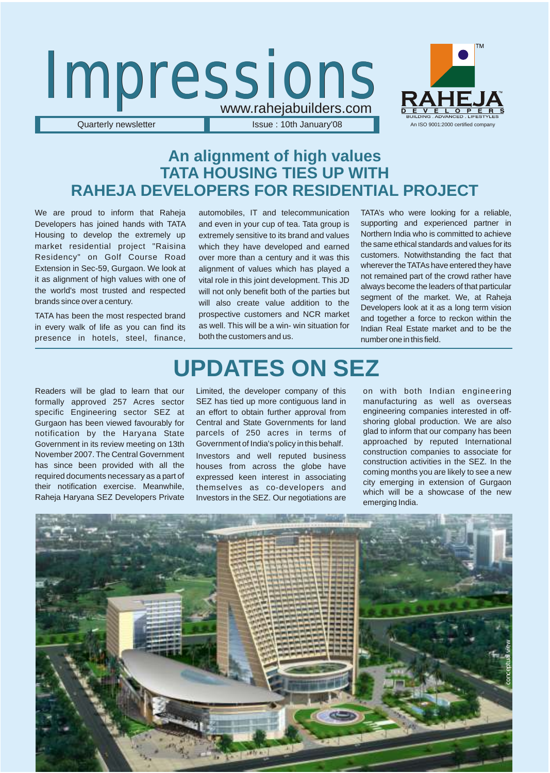

### **An alignment of high values TATA HOUSING TIES UP WITH RAHEJA DEVELOPERS FOR RESIDENTIAL PROJECT**

We are proud to inform that Raheja Developers has joined hands with TATA Housing to develop the extremely up market residential project "Raisina Residency" on Golf Course Road Extension in Sec-59, Gurgaon. We look at it as alignment of high values with one of the world's most trusted and respected brands since over a century.

TATA has been the most respected brand in every walk of life as you can find its presence in hotels, steel, finance, automobiles, IT and telecommunication and even in your cup of tea. Tata group is extremely sensitive to its brand and values which they have developed and earned over more than a century and it was this alignment of values which has played a vital role in this joint development. This JD will not only benefit both of the parties but will also create value addition to the prospective customers and NCR market as well. This will be a win- win situation for both the customers and us.

TATA's who were looking for a reliable, supporting and experienced partner in Northern India who is committed to achieve the same ethical standards and values for its customers. Notwithstanding the fact that wherever the TATAs have entered they have not remained part of the crowd rather have always become the leaders of that particular segment of the market. We, at Raheja Developers look at it as a long term vision and together a force to reckon within the Indian Real Estate market and to be the number one in this field.

# **UPDATES ON SEZ**

Readers will be glad to learn that our formally approved 257 Acres sector specific Engineering sector SEZ at Gurgaon has been viewed favourably for notification by the Haryana State Government in its review meeting on 13th November 2007. The Central Government has since been provided with all the required documents necessary as a part of their notification exercise. Meanwhile, Raheja Haryana SEZ Developers Private

Limited, the developer company of this SEZ has tied up more contiguous land in an effort to obtain further approval from Central and State Governments for land parcels of 250 acres in terms of Government of India's policy in this behalf. Investors and well reputed business houses from across the globe have expressed keen interest in associating themselves as co-developers and Investors in the SEZ. Our negotiations are

on with both Indian engineering manufacturing as well as overseas engineering companies interested in offshoring global production. We are also glad to inform that our company has been approached by reputed International construction companies to associate for construction activities in the SEZ. In the coming months you are likely to see a new city emerging in extension of Gurgaon which will be a showcase of the new emerging India.

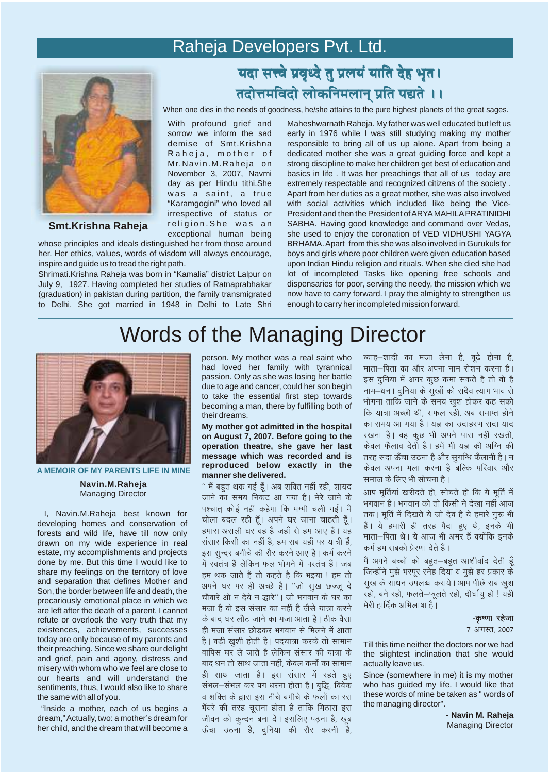### Raheja Developers Pvt. Ltd.

With profound grief and sorrow we inform the sad demise of Smt.Krishna Raheja, mother of Mr.Navin.M.Raheja on November 3, 2007, Navmi day as per Hindu tithi.She was a saint, a true "Karamgogini" who loved all irrespective of status or religion.She was an exceptional human being



#### **Smt.Krishna Raheja**

whose principles and ideals distinguished her from those around her. Her ethics, values, words of wisdom will always encourage, inspire and guide us to tread the right path.

Shrimati.Krishna Raheja was born in "Kamalia" district Lalpur on July 9, 1927. Having completed her studies of Ratnaprabhakar (graduation) in pakistan during partition, the family transmigrated to Delhi. She got married in 1948 in Delhi to Late Shri

### यदा सत्त्वे प्रवृध्दे तु प्रलयं याति देह भृत। <mark>तदोत्तमविंदो लोकनिमलान् प्रति पद्यते ।।</mark>

When one dies in the needs of goodness, he/she attains to the pure highest planets of the great sages.

Maheshwarnath Raheja. My father was well educated but left us early in 1976 while I was still studying making my mother responsible to bring all of us up alone. Apart from being a dedicated mother she was a great guiding force and kept a strong discipline to make her children get best of education and basics in life . It was her preachings that all of us today are extremely respectable and recognized citizens of the society . Apart from her duties as a great mother, she was also involved with social activities which included like being the Vice-President and then the President of ARYA MAHILA PRATINIDHI SABHA. Having good knowledge and command over Vedas, she used to enjoy the coronation of VED VIDHUSHI YAGYA BRHAMA. Apart from this she was also involved in Gurukuls for boys and girls where poor children were given education based upon Indian Hindu religion and rituals. When she died she had lot of incompleted Tasks like opening free schools and dispensaries for poor, serving the needy, the mission which we now have to carry forward. I pray the almighty to strengthen us enough to carry her incompleted mission forward.

# Words of the Managing Director



**Navin.M.Raheja** Managing Director **A MEMOIR OF MY PARENTS LIFE IN MINE**

 I, Navin.M.Raheja best known for developing homes and conservation of forests and wild life, have till now only drawn on my wide experience in real estate, my accomplishments and projects done by me. But this time I would like to share my feelings on the territory of love and separation that defines Mother and Son, the border between life and death, the precariously emotional place in which we are left after the death of a parent. I cannot refute or overlook the very truth that my existences, achievements, successes today are only because of my parents and their preaching. Since we share our delight and grief, pain and agony, distress and misery with whom who we feel are close to our hearts and will understand the sentiments, thus, I would also like to share the same with all of you.

 "Inside a mother, each of us begins a dream," Actually, two: a mother's dream for her child, and the dream that will become a person. My mother was a real saint who had loved her family with tyrannical passion. Only as she was losing her battle due to age and cancer, could her son begin to take the essential first step towards becoming a man, there by fulfilling both of their dreams.

**My mother got admitted in the hospital on August 7, 2007. Before going to the operation theatre, she gave her last message which was recorded and is reproduced below exactly in the manner she delivered.**

'' मैं बहुत थक गई हूँ। अब शक्ति नहीं रही, शायद जाने का समय निकट आ गया है। मेरे जाने के पश्चात कोई नहीं कहेगा कि मम्मी चली गई। मैं चोला बदल रही हैं। अपने घर जाना चाहती हैं। हमारा असली घर वह है जहाँ से हम आए हैं। यह संसार किसी का नहीं है. हम सब यहाँ पर यात्री हैं. इस सुन्दर बगीचे की सैर करने आए है। कर्म करने में स्वतंत्र हैं लेकिन फल भोगने में परतंत्र हैं। जब हम थक जाते हैं तो कहते है कि भइया ! हम तो अपने घर पर ही अच्छे है। "जो सुख छज्जु दे चौबारे ओ न देवे न द्धारे''। जो भगवान के घर का मजा है वो इस संसार का नहीं हैं जैसे यात्रा करने के बाद घर लौट जाने का मजा आता है। ठीक वैसा ही मजा संसार छोडकर भगवान से मिलने में आता है। बड़ी खुशी होती है। पदयात्रा करके तो सामान वापिस घर ले जाते है लेकिन संसार की यात्रा के बाद धन तो साथ जाता नहीं, केवल कर्मों का सामान ही साथ जाता है। इस संसार में रहते हुए संभल-संभल कर पग धरना होता है। बुद्धि, विवेक व शक्ति के द्वारा इस नीचे बगीचे के फलों का रस भँवरे की तरह चूसना होता है ताकि मिठास इस जीवन को कून्दन बना दें। इसलिए पढ़ना है, खूब ऊँचा उठना है, दुनिया की सैर करनी है,

व्याह-शादी का मजा लेना है, बूढ़े होना है, माता-पिता का और अपना नाम रोशन करना है। इस दुनिया में अगर कूछ कमा सकते है तो वो है नाम–धन । दुनिया के सुखों को सदैव त्याग भाव से भोगना ताकि जाने के समय खश होकर कह सको कि यात्रा अच्छी थी, सफल रही, अब समाप्त होने का समय आ गया है। यज्ञ का उदाहरण सदा याद रखना है। वह कूछ भी अपने पास नहीं रखती, केवल फैलाव देती है। हमें भी यज्ञ की अग्नि की तरह सदा ऊँचा उठना है और सुगन्धि फैलानी है। न केवल अपना भला करना है बल्कि परिवार और समाज के लिए भी सोचना है।

आप मूर्तियां खरीदते हो, सोचते हो कि ये मूर्ति में भगवान है। भगवान को तो किसी ने देखा नहीं आज तक। मूर्ति में दिखते ये जो देव है ये हमारे गुरू भी हैं। ये हमारी ही तरह पैदा हुए थे, इनके भी माता-पिता थे। ये आज भी अमर हैं क्योंकि इनके कर्म हम सबको प्रेरणा देते हैं।

मैं अपने बच्चों को बहुत-बहुत आशीर्वाद देती हूँ जिन्होंने मुझे भरपुर स्नेह दिया व मुझे हर प्रकार के सूख के साधन उपलब्ध कराये। आप पीछे सब खुश रहो, बने रहो, फलते-फूलते रहो, दीर्घायु हो ! यही मेरी हार्दिक अभिलाषा है।

-कृष्णा रहेजा

7 अगस्त. 2007

Till this time neither the doctors nor we had the slightest inclination that she would actually leave us.

Since (somewhere in me) it is my mother who has guided my life. I would like that these words of mine be taken as " words of the managing director".

> **- Navin M. Raheja** Managing Director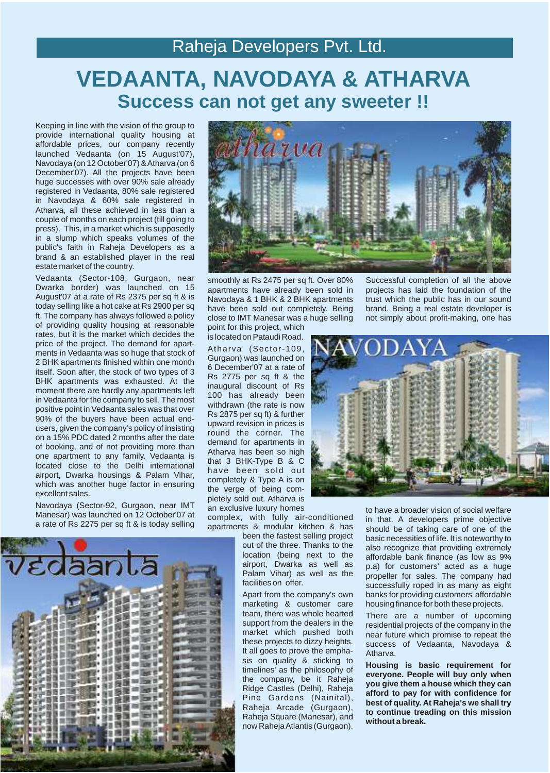### Raheja Developers Pvt. Ltd.

# **VEDAANTA, NAVODAYA & ATHARVA Success can not get any sweeter !!**

Keeping in line with the vision of the group to provide international quality housing at affordable prices, our company recently launched Vedaanta (on 15 August'07), Navodaya (on 12 October'07) & Atharva (on 6 December'07). All the projects have been huge successes with over 90% sale already registered in Vedaanta, 80% sale registered in Navodaya & 60% sale registered in Atharva, all these achieved in less than a couple of months on each project (till going to press). This, in a market which is supposedly in a slump which speaks volumes of the public's faith in Raheja Developers as a brand & an established player in the real estate market of the country.

Vedaanta (Sector-108, Gurgaon, near Dwarka border) was launched on 15 August'07 at a rate of Rs 2375 per sq ft & is today selling like a hot cake at Rs 2900 per sq ft. The company has always followed a policy of providing quality housing at reasonable rates, but it is the market which decides the price of the project. The demand for apartments in Vedaanta was so huge that stock of 2 BHK apartments finished within one month itself. Soon after, the stock of two types of 3 BHK apartments was exhausted. At the moment there are hardly any apartments left in Vedaanta for the company to sell. The most positive point in Vedaanta sales was that over 90% of the buyers have been actual endusers, given the company's policy of insisting on a 15% PDC dated 2 months after the date of booking, and of not providing more than one apartment to any family. Vedaanta is located close to the Delhi international airport, Dwarka housings & Palam Vihar, which was another huge factor in ensuring excellent sales.

Navodaya (Sector-92, Gurgaon, near IMT Manesar) was launched on 12 October'07 at a rate of Rs 2275 per sq ft & is today selling





smoothly at Rs 2475 per sq ft. Over 80% apartments have already been sold in Navodaya & 1 BHK & 2 BHK apartments have been sold out completely. Being close to IMT Manesar was a huge selling

point for this project, which is located on Pataudi Road.

Atharva (Sector-109, Gurgaon) was launched on 6 December'07 at a rate of Rs 2775 per sq ft & the inaugural discount of Rs 100 has already been withdrawn (the rate is now Rs 2875 per sq ft) & further upward revision in prices is round the corner. The demand for apartments in Atharva has been so high that 3 BHK-Type B & C have been sold out completely & Type A is on the verge of being completely sold out. Atharva is an exclusive luxury homes

complex, with fully air-conditioned apartments & modular kitchen & has

> been the fastest selling project out of the three. Thanks to the location (being next to the airport, Dwarka as well as Palam Vihar) as well as the facilities on offer.

> Apart from the company's own marketing & customer care team, there was whole hearted support from the dealers in the market which pushed both these projects to dizzy heights. It all goes to prove the emphasis on quality & sticking to timelines' as the philosophy of the company, be it Raheja Ridge Castles (Delhi), Raheja Pine Gardens (Nainital), Raheja Arcade (Gurgaon), Raheja Square (Manesar), and now Raheja Atlantis (Gurgaon).

Successful completion of all the above projects has laid the foundation of the trust which the public has in our sound brand. Being a real estate developer is not simply about profit-making, one has



to have a broader vision of social welfare in that. A developers prime objective should be of taking care of one of the basic necessities of life. It is noteworthy to also recognize that providing extremely affordable bank finance (as low as 9% p.a) for customers' acted as a huge propeller for sales. The company had successfully roped in as many as eight banks for providing customers' affordable housing finance for both these projects.

There are a number of upcoming residential projects of the company in the near future which promise to repeat the success of Vedaanta, Navodaya & Atharva.

**Housing is basic requirement for everyone. People will buy only when you give them a house which they can afford to pay for with confidence for best of quality. At Raheja's we shall try to continue treading on this mission without a break.**